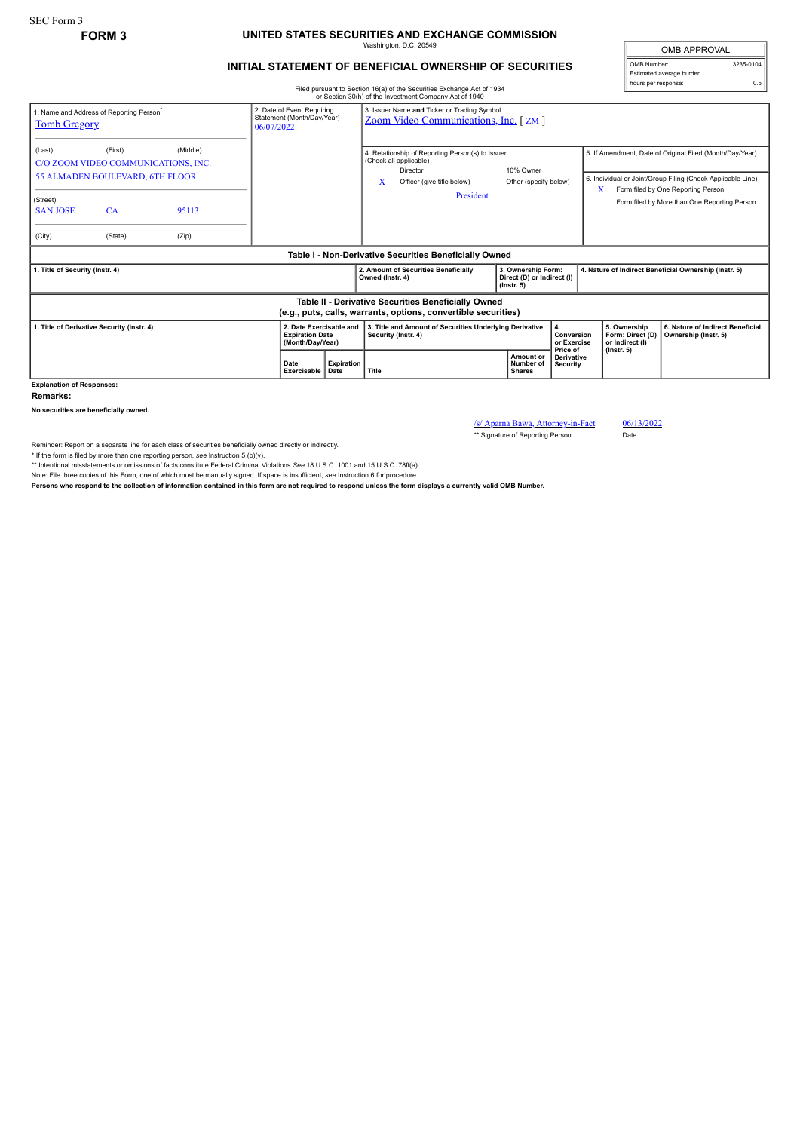## **FORM 3 UNITED STATES SECURITIES AND EXCHANGE COMMISSION** Washington, D.C. 20549

## **INITIAL STATEMENT OF BENEFICIAL OWNERSHIP OF SECURITIES**

OMB APPROVAL OMB Number: 3235-0104 Estimated average burden hours per response: 0.5

## Filed pursuant to Section 16(a) of the Securities Exchange Act of 1934 or Section 30(h) of the Investment Company Act of 1940

| 1. Name and Address of Reporting Person <sup>®</sup><br><b>Tomb Gregory</b>                                           |                                                                                         |                   | 2. Date of Event Requiring<br>Statement (Month/Day/Year)<br>06/07/2022 |                           | 3. Issuer Name and Ticker or Trading Symbol<br>Zoom Video Communications, Inc. [ZM]                                                    |                                                                      |                                             |                                                       |                                                                                                                                                                                                               |
|-----------------------------------------------------------------------------------------------------------------------|-----------------------------------------------------------------------------------------|-------------------|------------------------------------------------------------------------|---------------------------|----------------------------------------------------------------------------------------------------------------------------------------|----------------------------------------------------------------------|---------------------------------------------|-------------------------------------------------------|---------------------------------------------------------------------------------------------------------------------------------------------------------------------------------------------------------------|
| (Last)<br>(Street)<br><b>SAN JOSE</b>                                                                                 | (First)<br>C/O ZOOM VIDEO COMMUNICATIONS, INC.<br>55 ALMADEN BOULEVARD, 6TH FLOOR<br>CA | (Middle)<br>95113 |                                                                        |                           | 4. Relationship of Reporting Person(s) to Issuer<br>(Check all applicable)<br>Director<br>x<br>Officer (give title below)<br>President | 10% Owner<br>Other (specify below)                                   |                                             | X                                                     | 5. If Amendment, Date of Original Filed (Month/Day/Year)<br>6. Individual or Joint/Group Filing (Check Applicable Line)<br>Form filed by One Reporting Person<br>Form filed by More than One Reporting Person |
| (City)                                                                                                                | (State)                                                                                 | (Zip)             |                                                                        |                           |                                                                                                                                        |                                                                      |                                             |                                                       |                                                                                                                                                                                                               |
| Table I - Non-Derivative Securities Beneficially Owned                                                                |                                                                                         |                   |                                                                        |                           |                                                                                                                                        |                                                                      |                                             |                                                       |                                                                                                                                                                                                               |
| 1. Title of Security (Instr. 4)                                                                                       |                                                                                         |                   |                                                                        |                           | 2. Amount of Securities Beneficially<br>Owned (Instr. 4)                                                                               | 3. Ownership Form:<br>Direct (D) or Indirect (I)<br>$($ lnstr. 5 $)$ |                                             | 4. Nature of Indirect Beneficial Ownership (Instr. 5) |                                                                                                                                                                                                               |
| Table II - Derivative Securities Beneficially Owned<br>(e.g., puts, calls, warrants, options, convertible securities) |                                                                                         |                   |                                                                        |                           |                                                                                                                                        |                                                                      |                                             |                                                       |                                                                                                                                                                                                               |
|                                                                                                                       | 1. Title of Derivative Security (Instr. 4)                                              |                   | 2. Date Exercisable and<br><b>Expiration Date</b><br>(Month/Day/Year)  |                           | 3. Title and Amount of Securities Underlying Derivative<br>Security (Instr. 4)                                                         |                                                                      | 4.<br>Conversion<br>or Exercise<br>Price of | 5. Ownership<br>Form: Direct (D)<br>or Indirect (I)   | 6. Nature of Indirect Beneficial<br>Ownership (Instr. 5)                                                                                                                                                      |
|                                                                                                                       |                                                                                         |                   | Date<br>Exercisable                                                    | <b>Expiration</b><br>Date | Title                                                                                                                                  | <b>Amount or</b><br>Number of<br>Shares                              | <b>Derivative</b><br>Security               | $($ lnstr. 5 $)$                                      |                                                                                                                                                                                                               |
| <b>Explanation of Responses:</b>                                                                                      |                                                                                         |                   |                                                                        |                           |                                                                                                                                        |                                                                      |                                             |                                                       |                                                                                                                                                                                                               |

**Remarks:**

**No securities are beneficially owned.**

/s/ Aparna Bawa, Attorney-in-Fact 06/13/2022

\*\* Signature of Reporting Person Date

Reminder: Report on a separate line for each class of securities beneficially owned directly or indirectly.

\* If the form is filed by more than one reporting person, see Instruction 5 (b)(v).<br>\*\* Intentional misstatements or omissions of facts constitute Federal Criminal Violations See 18 U.S.C. 1001 and 15 U.S.C. 78ff(a).

Note: File three copies of this Form, one of which must be manually signed. If space is insufficient, *see* Instruction 6 for procedure.

**Persons who respond to the collection of information contained in this form are not required to respond unless the form displays a currently valid OMB Number.**